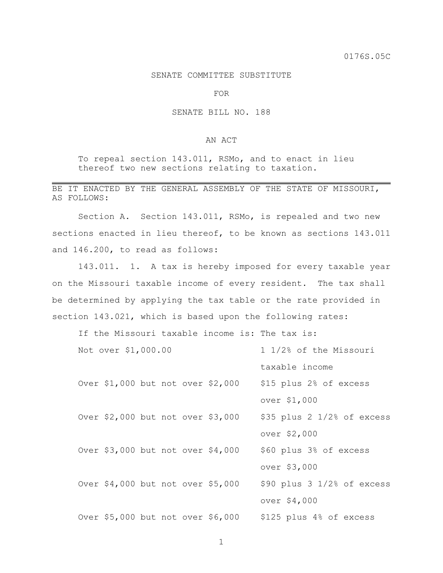## SENATE COMMITTEE SUBSTITUTE

FOR

## SENATE BILL NO. 188

## AN ACT

To repeal section 143.011, RSMo, and to enact in lieu thereof two new sections relating to taxation.

## BE IT ENACTED BY THE GENERAL ASSEMBLY OF THE STATE OF MISSOURI, AS FOLLOWS:

Section A. Section 143.011, RSMo, is repealed and two new sections enacted in lieu thereof, to be known as sections 143.011 and 146.200, to read as follows:

143.011. 1. A tax is hereby imposed for every taxable year on the Missouri taxable income of every resident. The tax shall be determined by applying the tax table or the rate provided in section 143.021, which is based upon the following rates:

If the Missouri taxable income is: The tax is:

| Not over \$1,000.00               |  |  | 1 1/2% of the Missouri            |                                |
|-----------------------------------|--|--|-----------------------------------|--------------------------------|
|                                   |  |  |                                   | taxable income                 |
|                                   |  |  | Over \$1,000 but not over \$2,000 | \$15 plus 2% of excess         |
|                                   |  |  |                                   | over \$1,000                   |
|                                   |  |  | Over \$2,000 but not over \$3,000 | $$35$ plus $2$ $1/2$ of excess |
|                                   |  |  |                                   | over \$2,000                   |
| Over \$3,000 but not over \$4,000 |  |  |                                   | \$60 plus 3% of excess         |
|                                   |  |  |                                   | over \$3,000                   |
| Over \$4,000 but not over \$5,000 |  |  |                                   | $$90$ plus $3$ $1/2$ of excess |
|                                   |  |  |                                   | over \$4,000                   |
| Over \$5,000 but not over \$6,000 |  |  |                                   | \$125 plus 4% of excess        |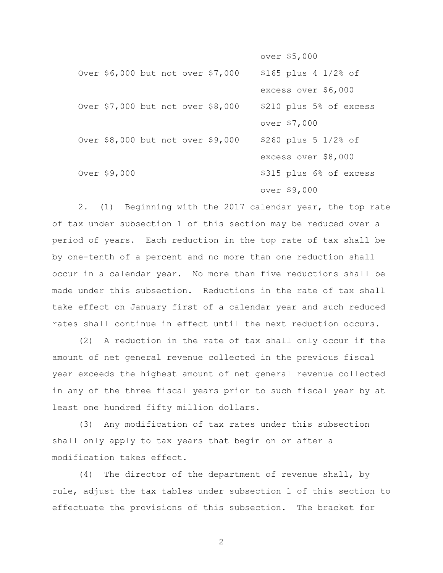over \$5,000

| Over \$6,000 but not over \$7,000 |  |  | $$165$ plus 4 $1/2$ of  |
|-----------------------------------|--|--|-------------------------|
|                                   |  |  | excess over \$6,000     |
| Over \$7,000 but not over \$8,000 |  |  | \$210 plus 5% of excess |
|                                   |  |  | over \$7,000            |
| Over \$8,000 but not over \$9,000 |  |  | \$260 plus 5 1/2% of    |
|                                   |  |  | excess over \$8,000     |
| Over \$9,000                      |  |  | \$315 plus 6% of excess |
|                                   |  |  | over \$9,000            |

2. (1) Beginning with the 2017 calendar year, the top rate of tax under subsection 1 of this section may be reduced over a period of years. Each reduction in the top rate of tax shall be by one-tenth of a percent and no more than one reduction shall occur in a calendar year. No more than five reductions shall be made under this subsection. Reductions in the rate of tax shall take effect on January first of a calendar year and such reduced rates shall continue in effect until the next reduction occurs.

(2) A reduction in the rate of tax shall only occur if the amount of net general revenue collected in the previous fiscal year exceeds the highest amount of net general revenue collected in any of the three fiscal years prior to such fiscal year by at least one hundred fifty million dollars.

(3) Any modification of tax rates under this subsection shall only apply to tax years that begin on or after a modification takes effect.

(4) The director of the department of revenue shall, by rule, adjust the tax tables under subsection 1 of this section to effectuate the provisions of this subsection. The bracket for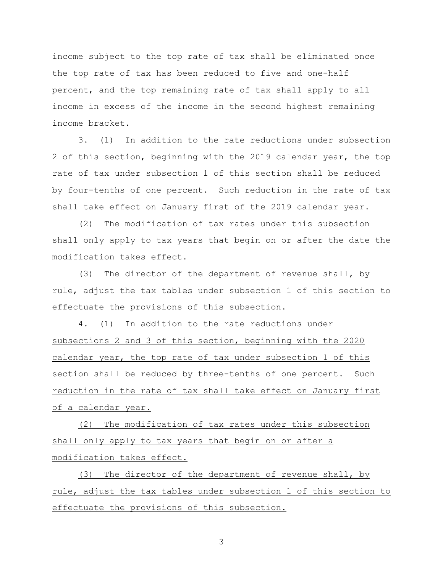income subject to the top rate of tax shall be eliminated once the top rate of tax has been reduced to five and one-half percent, and the top remaining rate of tax shall apply to all income in excess of the income in the second highest remaining income bracket.

3. (1) In addition to the rate reductions under subsection 2 of this section, beginning with the 2019 calendar year, the top rate of tax under subsection 1 of this section shall be reduced by four-tenths of one percent. Such reduction in the rate of tax shall take effect on January first of the 2019 calendar year.

(2) The modification of tax rates under this subsection shall only apply to tax years that begin on or after the date the modification takes effect.

(3) The director of the department of revenue shall, by rule, adjust the tax tables under subsection 1 of this section to effectuate the provisions of this subsection.

4. (1) In addition to the rate reductions under subsections 2 and 3 of this section, beginning with the 2020 calendar year, the top rate of tax under subsection 1 of this section shall be reduced by three-tenths of one percent. Such reduction in the rate of tax shall take effect on January first of a calendar year.

(2) The modification of tax rates under this subsection shall only apply to tax years that begin on or after a modification takes effect.

(3) The director of the department of revenue shall, by rule, adjust the tax tables under subsection 1 of this section to effectuate the provisions of this subsection.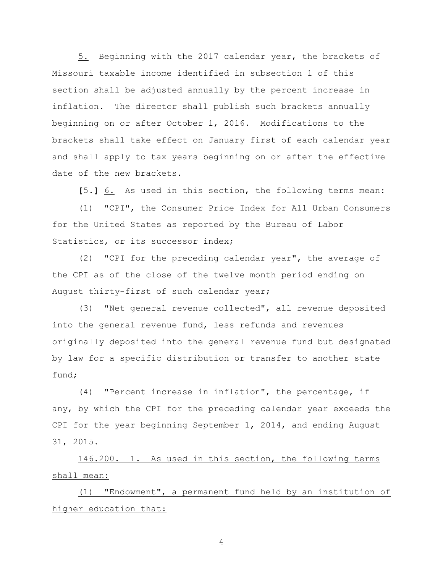5. Beginning with the 2017 calendar year, the brackets of Missouri taxable income identified in subsection 1 of this section shall be adjusted annually by the percent increase in inflation. The director shall publish such brackets annually beginning on or after October 1, 2016. Modifications to the brackets shall take effect on January first of each calendar year and shall apply to tax years beginning on or after the effective date of the new brackets.

**[**5.**]** 6. As used in this section, the following terms mean:

(1) "CPI", the Consumer Price Index for All Urban Consumers for the United States as reported by the Bureau of Labor Statistics, or its successor index;

(2) "CPI for the preceding calendar year", the average of the CPI as of the close of the twelve month period ending on August thirty-first of such calendar year;

(3) "Net general revenue collected", all revenue deposited into the general revenue fund, less refunds and revenues originally deposited into the general revenue fund but designated by law for a specific distribution or transfer to another state fund;

(4) "Percent increase in inflation", the percentage, if any, by which the CPI for the preceding calendar year exceeds the CPI for the year beginning September 1, 2014, and ending August 31, 2015.

146.200. 1. As used in this section, the following terms shall mean:

(1) "Endowment", a permanent fund held by an institution of higher education that: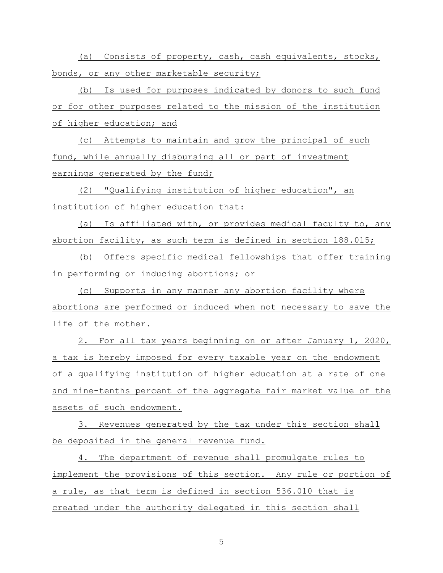(a) Consists of property, cash, cash equivalents, stocks, bonds, or any other marketable security;

(b) Is used for purposes indicated by donors to such fund or for other purposes related to the mission of the institution of higher education; and

(c) Attempts to maintain and grow the principal of such fund, while annually disbursing all or part of investment earnings generated by the fund;

(2) "Qualifying institution of higher education", an institution of higher education that:

(a) Is affiliated with, or provides medical faculty to, any abortion facility, as such term is defined in section 188.015;

(b) Offers specific medical fellowships that offer training in performing or inducing abortions; or

(c) Supports in any manner any abortion facility where abortions are performed or induced when not necessary to save the life of the mother.

2. For all tax years beginning on or after January 1, 2020, a tax is hereby imposed for every taxable year on the endowment of a qualifying institution of higher education at a rate of one and nine-tenths percent of the aggregate fair market value of the assets of such endowment.

3. Revenues generated by the tax under this section shall be deposited in the general revenue fund.

4. The department of revenue shall promulgate rules to implement the provisions of this section. Any rule or portion of a rule, as that term is defined in section 536.010 that is created under the authority delegated in this section shall